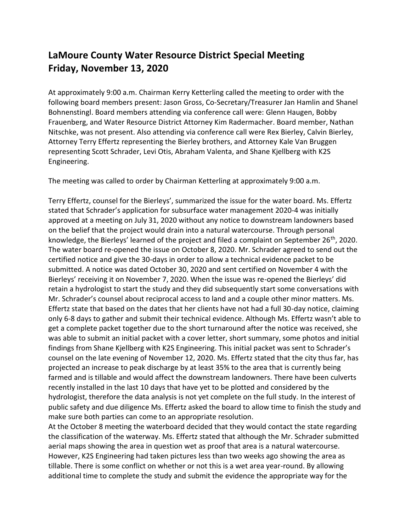## **LaMoure County Water Resource District Special Meeting Friday, November 13, 2020**

At approximately 9:00 a.m. Chairman Kerry Ketterling called the meeting to order with the following board members present: Jason Gross, Co-Secretary/Treasurer Jan Hamlin and Shanel Bohnenstingl. Board members attending via conference call were: Glenn Haugen, Bobby Frauenberg, and Water Resource District Attorney Kim Radermacher. Board member, Nathan Nitschke, was not present. Also attending via conference call were Rex Bierley, Calvin Bierley, Attorney Terry Effertz representing the Bierley brothers, and Attorney Kale Van Bruggen representing Scott Schrader, Levi Otis, Abraham Valenta, and Shane Kjellberg with K2S Engineering.

The meeting was called to order by Chairman Ketterling at approximately 9:00 a.m.

Terry Effertz, counsel for the Bierleys', summarized the issue for the water board. Ms. Effertz stated that Schrader's application for subsurface water management 2020-4 was initially approved at a meeting on July 31, 2020 without any notice to downstream landowners based on the belief that the project would drain into a natural watercourse. Through personal knowledge, the Bierleys' learned of the project and filed a complaint on September 26<sup>th</sup>, 2020. The water board re-opened the issue on October 8, 2020. Mr. Schrader agreed to send out the certified notice and give the 30-days in order to allow a technical evidence packet to be submitted. A notice was dated October 30, 2020 and sent certified on November 4 with the Bierleys' receiving it on November 7, 2020. When the issue was re-opened the Bierleys' did retain a hydrologist to start the study and they did subsequently start some conversations with Mr. Schrader's counsel about reciprocal access to land and a couple other minor matters. Ms. Effertz state that based on the dates that her clients have not had a full 30-day notice, claiming only 6-8 days to gather and submit their technical evidence. Although Ms. Effertz wasn't able to get a complete packet together due to the short turnaround after the notice was received, she was able to submit an initial packet with a cover letter, short summary, some photos and initial findings from Shane Kjellberg with K2S Engineering. This initial packet was sent to Schrader's counsel on the late evening of November 12, 2020. Ms. Effertz stated that the city thus far, has projected an increase to peak discharge by at least 35% to the area that is currently being farmed and is tillable and would affect the downstream landowners. There have been culverts recently installed in the last 10 days that have yet to be plotted and considered by the hydrologist, therefore the data analysis is not yet complete on the full study. In the interest of public safety and due diligence Ms. Effertz asked the board to allow time to finish the study and make sure both parties can come to an appropriate resolution.

At the October 8 meeting the waterboard decided that they would contact the state regarding the classification of the waterway. Ms. Effertz stated that although the Mr. Schrader submitted aerial maps showing the area in question wet as proof that area is a natural watercourse. However, K2S Engineering had taken pictures less than two weeks ago showing the area as tillable. There is some conflict on whether or not this is a wet area year-round. By allowing additional time to complete the study and submit the evidence the appropriate way for the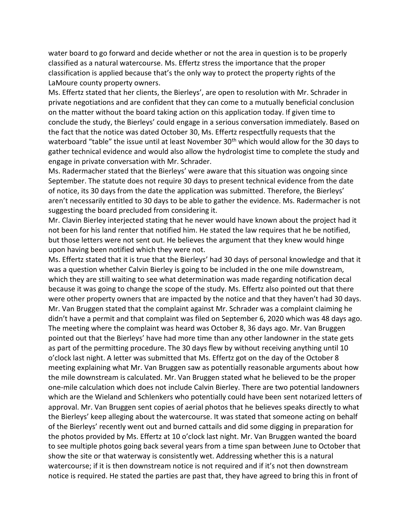water board to go forward and decide whether or not the area in question is to be properly classified as a natural watercourse. Ms. Effertz stress the importance that the proper classification is applied because that's the only way to protect the property rights of the LaMoure county property owners.

Ms. Effertz stated that her clients, the Bierleys', are open to resolution with Mr. Schrader in private negotiations and are confident that they can come to a mutually beneficial conclusion on the matter without the board taking action on this application today. If given time to conclude the study, the Bierleys' could engage in a serious conversation immediately. Based on the fact that the notice was dated October 30, Ms. Effertz respectfully requests that the waterboard "table" the issue until at least November 30<sup>th</sup> which would allow for the 30 days to gather technical evidence and would also allow the hydrologist time to complete the study and engage in private conversation with Mr. Schrader.

Ms. Radermacher stated that the Bierleys' were aware that this situation was ongoing since September. The statute does not require 30 days to present technical evidence from the date of notice, its 30 days from the date the application was submitted. Therefore, the Bierleys' aren't necessarily entitled to 30 days to be able to gather the evidence. Ms. Radermacher is not suggesting the board precluded from considering it.

Mr. Clavin Bierley interjected stating that he never would have known about the project had it not been for his land renter that notified him. He stated the law requires that he be notified, but those letters were not sent out. He believes the argument that they knew would hinge upon having been notified which they were not.

Ms. Effertz stated that it is true that the Bierleys' had 30 days of personal knowledge and that it was a question whether Calvin Bierley is going to be included in the one mile downstream, which they are still waiting to see what determination was made regarding notification decal because it was going to change the scope of the study. Ms. Effertz also pointed out that there were other property owners that are impacted by the notice and that they haven't had 30 days. Mr. Van Bruggen stated that the complaint against Mr. Schrader was a complaint claiming he didn't have a permit and that complaint was filed on September 6, 2020 which was 48 days ago. The meeting where the complaint was heard was October 8, 36 days ago. Mr. Van Bruggen pointed out that the Bierleys' have had more time than any other landowner in the state gets as part of the permitting procedure. The 30 days flew by without receiving anything until 10 o'clock last night. A letter was submitted that Ms. Effertz got on the day of the October 8 meeting explaining what Mr. Van Bruggen saw as potentially reasonable arguments about how the mile downstream is calculated. Mr. Van Bruggen stated what he believed to be the proper one-mile calculation which does not include Calvin Bierley. There are two potential landowners which are the Wieland and Schlenkers who potentially could have been sent notarized letters of approval. Mr. Van Bruggen sent copies of aerial photos that he believes speaks directly to what the Bierleys' keep alleging about the watercourse. It was stated that someone acting on behalf of the Bierleys' recently went out and burned cattails and did some digging in preparation for the photos provided by Ms. Effertz at 10 o'clock last night. Mr. Van Bruggen wanted the board to see multiple photos going back several years from a time span between June to October that show the site or that waterway is consistently wet. Addressing whether this is a natural watercourse; if it is then downstream notice is not required and if it's not then downstream notice is required. He stated the parties are past that, they have agreed to bring this in front of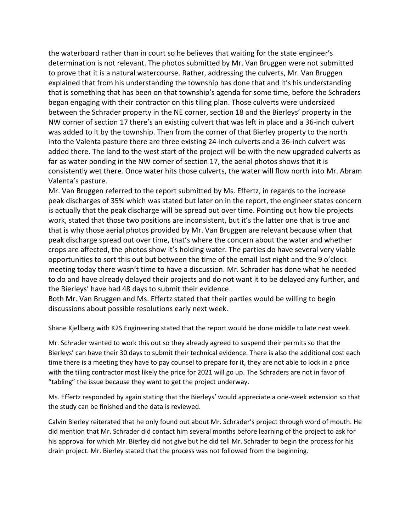the waterboard rather than in court so he believes that waiting for the state engineer's determination is not relevant. The photos submitted by Mr. Van Bruggen were not submitted to prove that it is a natural watercourse. Rather, addressing the culverts, Mr. Van Bruggen explained that from his understanding the township has done that and it's his understanding that is something that has been on that township's agenda for some time, before the Schraders began engaging with their contractor on this tiling plan. Those culverts were undersized between the Schrader property in the NE corner, section 18 and the Bierleys' property in the NW corner of section 17 there's an existing culvert that was left in place and a 36-inch culvert was added to it by the township. Then from the corner of that Bierley property to the north into the Valenta pasture there are three existing 24-inch culverts and a 36-inch culvert was added there. The land to the west start of the project will be with the new upgraded culverts as far as water ponding in the NW corner of section 17, the aerial photos shows that it is consistently wet there. Once water hits those culverts, the water will flow north into Mr. Abram Valenta's pasture.

Mr. Van Bruggen referred to the report submitted by Ms. Effertz, in regards to the increase peak discharges of 35% which was stated but later on in the report, the engineer states concern is actually that the peak discharge will be spread out over time. Pointing out how tile projects work, stated that those two positions are inconsistent, but it's the latter one that is true and that is why those aerial photos provided by Mr. Van Bruggen are relevant because when that peak discharge spread out over time, that's where the concern about the water and whether crops are affected, the photos show it's holding water. The parties do have several very viable opportunities to sort this out but between the time of the email last night and the 9 o'clock meeting today there wasn't time to have a discussion. Mr. Schrader has done what he needed to do and have already delayed their projects and do not want it to be delayed any further, and the Bierleys' have had 48 days to submit their evidence.

Both Mr. Van Bruggen and Ms. Effertz stated that their parties would be willing to begin discussions about possible resolutions early next week.

Shane Kjellberg with K2S Engineering stated that the report would be done middle to late next week.

Mr. Schrader wanted to work this out so they already agreed to suspend their permits so that the Bierleys' can have their 30 days to submit their technical evidence. There is also the additional cost each time there is a meeting they have to pay counsel to prepare for it, they are not able to lock in a price with the tiling contractor most likely the price for 2021 will go up. The Schraders are not in favor of "tabling" the issue because they want to get the project underway.

Ms. Effertz responded by again stating that the Bierleys' would appreciate a one-week extension so that the study can be finished and the data is reviewed.

Calvin Bierley reiterated that he only found out about Mr. Schrader's project through word of mouth. He did mention that Mr. Schrader did contact him several months before learning of the project to ask for his approval for which Mr. Bierley did not give but he did tell Mr. Schrader to begin the process for his drain project. Mr. Bierley stated that the process was not followed from the beginning.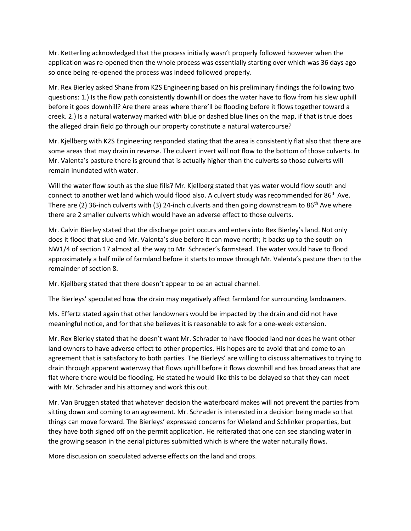Mr. Ketterling acknowledged that the process initially wasn't properly followed however when the application was re-opened then the whole process was essentially starting over which was 36 days ago so once being re-opened the process was indeed followed properly.

Mr. Rex Bierley asked Shane from K2S Engineering based on his preliminary findings the following two questions: 1.) Is the flow path consistently downhill or does the water have to flow from his slew uphill before it goes downhill? Are there areas where there'll be flooding before it flows together toward a creek. 2.) Is a natural waterway marked with blue or dashed blue lines on the map, if that is true does the alleged drain field go through our property constitute a natural watercourse?

Mr. Kjellberg with K2S Engineering responded stating that the area is consistently flat also that there are some areas that may drain in reverse. The culvert invert will not flow to the bottom of those culverts. In Mr. Valenta's pasture there is ground that is actually higher than the culverts so those culverts will remain inundated with water.

Will the water flow south as the slue fills? Mr. Kjellberg stated that yes water would flow south and connect to another wet land which would flood also. A culvert study was recommended for 86<sup>th</sup> Ave. There are (2) 36-inch culverts with (3) 24-inch culverts and then going downstream to 86<sup>th</sup> Ave where there are 2 smaller culverts which would have an adverse effect to those culverts.

Mr. Calvin Bierley stated that the discharge point occurs and enters into Rex Bierley's land. Not only does it flood that slue and Mr. Valenta's slue before it can move north; it backs up to the south on NW1/4 of section 17 almost all the way to Mr. Schrader's farmstead. The water would have to flood approximately a half mile of farmland before it starts to move through Mr. Valenta's pasture then to the remainder of section 8.

Mr. Kjellberg stated that there doesn't appear to be an actual channel.

The Bierleys' speculated how the drain may negatively affect farmland for surrounding landowners.

Ms. Effertz stated again that other landowners would be impacted by the drain and did not have meaningful notice, and for that she believes it is reasonable to ask for a one-week extension.

Mr. Rex Bierley stated that he doesn't want Mr. Schrader to have flooded land nor does he want other land owners to have adverse effect to other properties. His hopes are to avoid that and come to an agreement that is satisfactory to both parties. The Bierleys' are willing to discuss alternatives to trying to drain through apparent waterway that flows uphill before it flows downhill and has broad areas that are flat where there would be flooding. He stated he would like this to be delayed so that they can meet with Mr. Schrader and his attorney and work this out.

Mr. Van Bruggen stated that whatever decision the waterboard makes will not prevent the parties from sitting down and coming to an agreement. Mr. Schrader is interested in a decision being made so that things can move forward. The Bierleys' expressed concerns for Wieland and Schlinker properties, but they have both signed off on the permit application. He reiterated that one can see standing water in the growing season in the aerial pictures submitted which is where the water naturally flows.

More discussion on speculated adverse effects on the land and crops.